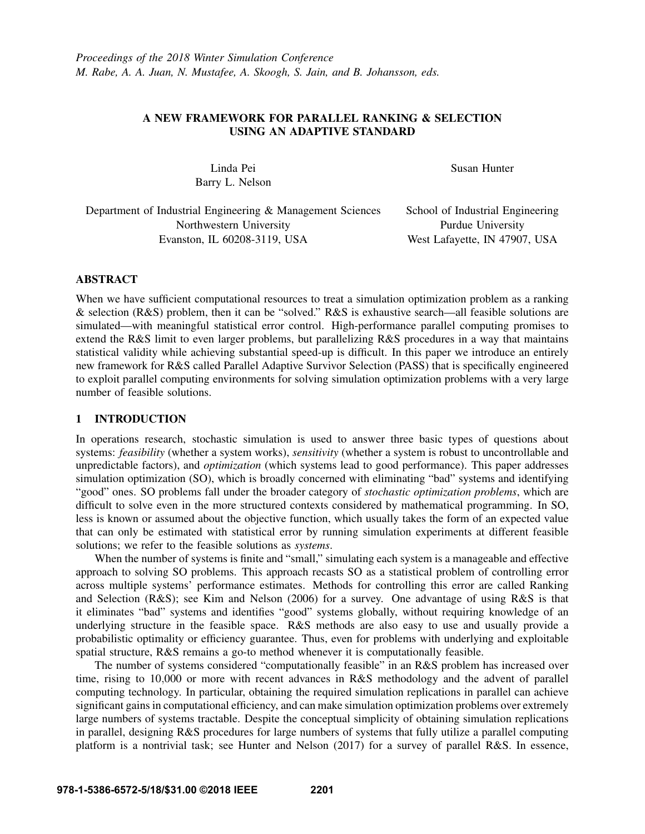# A NEW FRAMEWORK FOR PARALLEL RANKING & SELECTION USING AN ADAPTIVE STANDARD

Linda Pei Susan Hunter Barry L. Nelson

Department of Industrial Engineering & Management Sciences School of Industrial Engineering Northwestern University Purdue University Evanston, IL 60208-3119, USA West Lafayette, IN 47907, USA

## ABSTRACT

When we have sufficient computational resources to treat a simulation optimization problem as a ranking & selection (R&S) problem, then it can be "solved." R&S is exhaustive search—all feasible solutions are simulated—with meaningful statistical error control. High-performance parallel computing promises to extend the R&S limit to even larger problems, but parallelizing R&S procedures in a way that maintains statistical validity while achieving substantial speed-up is difficult. In this paper we introduce an entirely new framework for R&S called Parallel Adaptive Survivor Selection (PASS) that is specifically engineered to exploit parallel computing environments for solving simulation optimization problems with a very large number of feasible solutions.

## 1 INTRODUCTION

In operations research, stochastic simulation is used to answer three basic types of questions about systems: *feasibility* (whether a system works), *sensitivity* (whether a system is robust to uncontrollable and unpredictable factors), and *optimization* (which systems lead to good performance). This paper addresses simulation optimization (SO), which is broadly concerned with eliminating "bad" systems and identifying "good" ones. SO problems fall under the broader category of *stochastic optimization problems*, which are difficult to solve even in the more structured contexts considered by mathematical programming. In SO, less is known or assumed about the objective function, which usually takes the form of an expected value that can only be estimated with statistical error by running simulation experiments at different feasible solutions; we refer to the feasible solutions as *systems*.

When the number of systems is finite and "small," simulating each system is a manageable and effective approach to solving SO problems. This approach recasts SO as a statistical problem of controlling error across multiple systems' performance estimates. Methods for controlling this error are called Ranking and Selection (R&S); see Kim and Nelson (2006) for a survey. One advantage of using R&S is that it eliminates "bad" systems and identifies "good" systems globally, without requiring knowledge of an underlying structure in the feasible space. R&S methods are also easy to use and usually provide a probabilistic optimality or efficiency guarantee. Thus, even for problems with underlying and exploitable spatial structure, R&S remains a go-to method whenever it is computationally feasible.

The number of systems considered "computationally feasible" in an R&S problem has increased over time, rising to 10,000 or more with recent advances in R&S methodology and the advent of parallel computing technology. In particular, obtaining the required simulation replications in parallel can achieve significant gains in computational efficiency, and can make simulation optimization problems over extremely large numbers of systems tractable. Despite the conceptual simplicity of obtaining simulation replications in parallel, designing R&S procedures for large numbers of systems that fully utilize a parallel computing platform is a nontrivial task; see Hunter and Nelson (2017) for a survey of parallel R&S. In essence,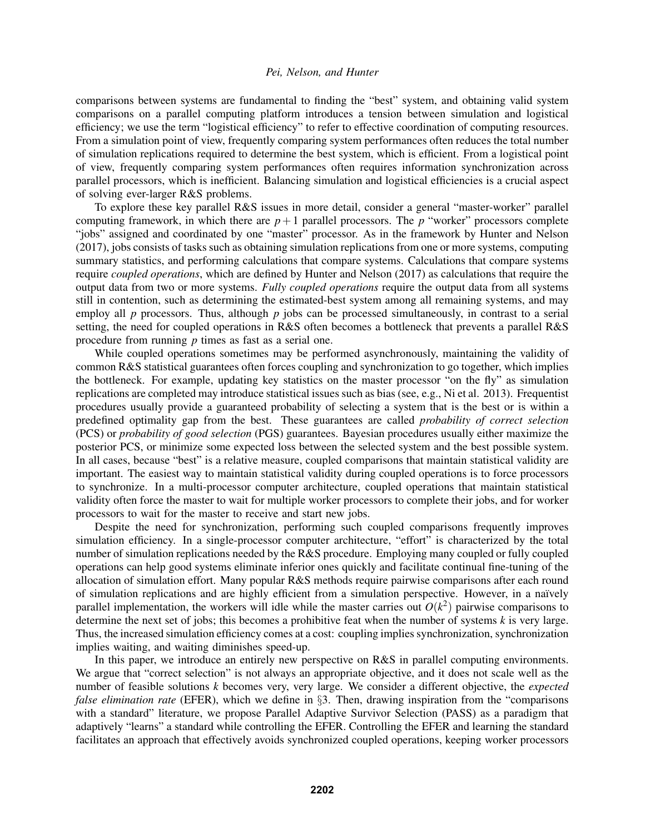comparisons between systems are fundamental to finding the "best" system, and obtaining valid system comparisons on a parallel computing platform introduces a tension between simulation and logistical efficiency; we use the term "logistical efficiency" to refer to effective coordination of computing resources. From a simulation point of view, frequently comparing system performances often reduces the total number of simulation replications required to determine the best system, which is efficient. From a logistical point of view, frequently comparing system performances often requires information synchronization across parallel processors, which is inefficient. Balancing simulation and logistical efficiencies is a crucial aspect of solving ever-larger R&S problems.

To explore these key parallel R&S issues in more detail, consider a general "master-worker" parallel computing framework, in which there are  $p+1$  parallel processors. The  $p$  "worker" processors complete "jobs" assigned and coordinated by one "master" processor. As in the framework by Hunter and Nelson (2017), jobs consists of tasks such as obtaining simulation replications from one or more systems, computing summary statistics, and performing calculations that compare systems. Calculations that compare systems require *coupled operations*, which are defined by Hunter and Nelson (2017) as calculations that require the output data from two or more systems. *Fully coupled operations* require the output data from all systems still in contention, such as determining the estimated-best system among all remaining systems, and may employ all *p* processors. Thus, although *p* jobs can be processed simultaneously, in contrast to a serial setting, the need for coupled operations in R&S often becomes a bottleneck that prevents a parallel R&S procedure from running *p* times as fast as a serial one.

While coupled operations sometimes may be performed asynchronously, maintaining the validity of common R&S statistical guarantees often forces coupling and synchronization to go together, which implies the bottleneck. For example, updating key statistics on the master processor "on the fly" as simulation replications are completed may introduce statistical issues such as bias (see, e.g., Ni et al. 2013). Frequentist procedures usually provide a guaranteed probability of selecting a system that is the best or is within a predefined optimality gap from the best. These guarantees are called *probability of correct selection* (PCS) or *probability of good selection* (PGS) guarantees. Bayesian procedures usually either maximize the posterior PCS, or minimize some expected loss between the selected system and the best possible system. In all cases, because "best" is a relative measure, coupled comparisons that maintain statistical validity are important. The easiest way to maintain statistical validity during coupled operations is to force processors to synchronize. In a multi-processor computer architecture, coupled operations that maintain statistical validity often force the master to wait for multiple worker processors to complete their jobs, and for worker processors to wait for the master to receive and start new jobs.

Despite the need for synchronization, performing such coupled comparisons frequently improves simulation efficiency. In a single-processor computer architecture, "effort" is characterized by the total number of simulation replications needed by the R&S procedure. Employing many coupled or fully coupled operations can help good systems eliminate inferior ones quickly and facilitate continual fine-tuning of the allocation of simulation effort. Many popular R&S methods require pairwise comparisons after each round of simulation replications and are highly efficient from a simulation perspective. However, in a naïvely parallel implementation, the workers will idle while the master carries out  $O(k^2)$  pairwise comparisons to determine the next set of jobs; this becomes a prohibitive feat when the number of systems *k* is very large. Thus, the increased simulation efficiency comes at a cost: coupling implies synchronization, synchronization implies waiting, and waiting diminishes speed-up.

In this paper, we introduce an entirely new perspective on R&S in parallel computing environments. We argue that "correct selection" is not always an appropriate objective, and it does not scale well as the number of feasible solutions *k* becomes very, very large. We consider a different objective, the *expected false elimination rate* (EFER), which we define in §3. Then, drawing inspiration from the "comparisons with a standard" literature, we propose Parallel Adaptive Survivor Selection (PASS) as a paradigm that adaptively "learns" a standard while controlling the EFER. Controlling the EFER and learning the standard facilitates an approach that effectively avoids synchronized coupled operations, keeping worker processors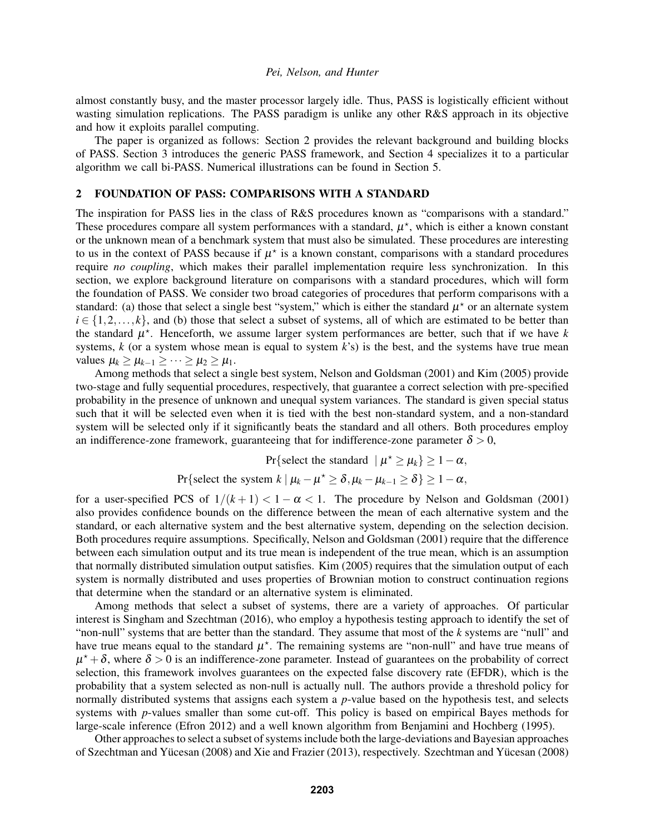almost constantly busy, and the master processor largely idle. Thus, PASS is logistically efficient without wasting simulation replications. The PASS paradigm is unlike any other R&S approach in its objective and how it exploits parallel computing.

The paper is organized as follows: Section 2 provides the relevant background and building blocks of PASS. Section 3 introduces the generic PASS framework, and Section 4 specializes it to a particular algorithm we call bi-PASS. Numerical illustrations can be found in Section 5.

# 2 FOUNDATION OF PASS: COMPARISONS WITH A STANDARD

The inspiration for PASS lies in the class of R&S procedures known as "comparisons with a standard." These procedures compare all system performances with a standard,  $\mu^*$ , which is either a known constant or the unknown mean of a benchmark system that must also be simulated. These procedures are interesting to us in the context of PASS because if  $\mu^*$  is a known constant, comparisons with a standard procedures require *no coupling*, which makes their parallel implementation require less synchronization. In this section, we explore background literature on comparisons with a standard procedures, which will form the foundation of PASS. We consider two broad categories of procedures that perform comparisons with a standard: (a) those that select a single best "system," which is either the standard  $\mu^*$  or an alternate system  $i \in \{1, 2, \ldots, k\}$ , and (b) those that select a subset of systems, all of which are estimated to be better than the standard  $\mu^*$ . Henceforth, we assume larger system performances are better, such that if we have  $k$ systems, *k* (or a system whose mean is equal to system *k*'s) is the best, and the systems have true mean values  $\mu_k \geq \mu_{k-1} \geq \cdots \geq \mu_2 \geq \mu_1$ .

Among methods that select a single best system, Nelson and Goldsman (2001) and Kim (2005) provide two-stage and fully sequential procedures, respectively, that guarantee a correct selection with pre-specified probability in the presence of unknown and unequal system variances. The standard is given special status such that it will be selected even when it is tied with the best non-standard system, and a non-standard system will be selected only if it significantly beats the standard and all others. Both procedures employ an indifference-zone framework, guaranteeing that for indifference-zone parameter  $\delta > 0$ ,

Pr{select the standard  $|\mu^* \ge \mu_k$ }  $\ge 1 - \alpha$ ,

Pr{select the system  $k \mid \mu_k - \mu^* \ge \delta$ ,  $\mu_k - \mu_{k-1} \ge \delta$ }  $\ge 1 - \alpha$ ,

for a user-specified PCS of  $1/(k+1) < 1-\alpha < 1$ . The procedure by Nelson and Goldsman (2001) also provides confidence bounds on the difference between the mean of each alternative system and the standard, or each alternative system and the best alternative system, depending on the selection decision. Both procedures require assumptions. Specifically, Nelson and Goldsman (2001) require that the difference between each simulation output and its true mean is independent of the true mean, which is an assumption that normally distributed simulation output satisfies. Kim (2005) requires that the simulation output of each system is normally distributed and uses properties of Brownian motion to construct continuation regions that determine when the standard or an alternative system is eliminated.

Among methods that select a subset of systems, there are a variety of approaches. Of particular interest is Singham and Szechtman (2016), who employ a hypothesis testing approach to identify the set of "non-null" systems that are better than the standard. They assume that most of the *k* systems are "null" and have true means equal to the standard  $\mu^*$ . The remaining systems are "non-null" and have true means of  $\mu^* + \delta$ , where  $\delta > 0$  is an indifference-zone parameter. Instead of guarantees on the probability of correct selection, this framework involves guarantees on the expected false discovery rate (EFDR), which is the probability that a system selected as non-null is actually null. The authors provide a threshold policy for normally distributed systems that assigns each system a *p*-value based on the hypothesis test, and selects systems with *p*-values smaller than some cut-off. This policy is based on empirical Bayes methods for large-scale inference (Efron 2012) and a well known algorithm from Benjamini and Hochberg (1995).

Other approaches to select a subset of systems include both the large-deviations and Bayesian approaches of Szechtman and Yücesan (2008) and Xie and Frazier (2013), respectively. Szechtman and Yücesan (2008)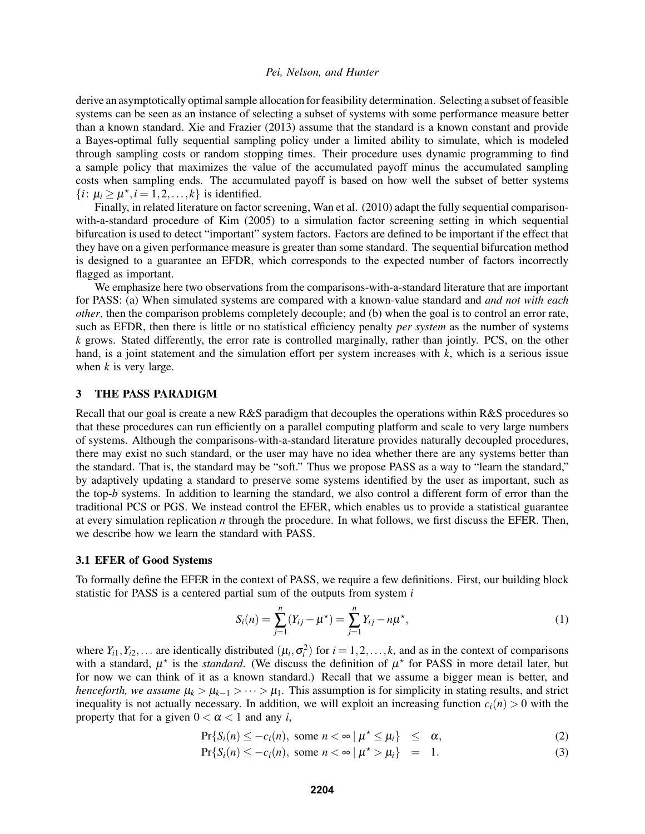derive an asymptotically optimal sample allocation for feasibility determination. Selecting a subset of feasible systems can be seen as an instance of selecting a subset of systems with some performance measure better than a known standard. Xie and Frazier (2013) assume that the standard is a known constant and provide a Bayes-optimal fully sequential sampling policy under a limited ability to simulate, which is modeled through sampling costs or random stopping times. Their procedure uses dynamic programming to find a sample policy that maximizes the value of the accumulated payoff minus the accumulated sampling costs when sampling ends. The accumulated payoff is based on how well the subset of better systems  $\{i: \mu_i \ge \mu^*, i = 1, 2, \dots, k\}$  is identified.

Finally, in related literature on factor screening, Wan et al. (2010) adapt the fully sequential comparisonwith-a-standard procedure of Kim (2005) to a simulation factor screening setting in which sequential bifurcation is used to detect "important" system factors. Factors are defined to be important if the effect that they have on a given performance measure is greater than some standard. The sequential bifurcation method is designed to a guarantee an EFDR, which corresponds to the expected number of factors incorrectly flagged as important.

We emphasize here two observations from the comparisons-with-a-standard literature that are important for PASS: (a) When simulated systems are compared with a known-value standard and *and not with each other*, then the comparison problems completely decouple; and (b) when the goal is to control an error rate, such as EFDR, then there is little or no statistical efficiency penalty *per system* as the number of systems *k* grows. Stated differently, the error rate is controlled marginally, rather than jointly. PCS, on the other hand, is a joint statement and the simulation effort per system increases with *k*, which is a serious issue when *k* is very large.

## 3 THE PASS PARADIGM

Recall that our goal is create a new R&S paradigm that decouples the operations within R&S procedures so that these procedures can run efficiently on a parallel computing platform and scale to very large numbers of systems. Although the comparisons-with-a-standard literature provides naturally decoupled procedures, there may exist no such standard, or the user may have no idea whether there are any systems better than the standard. That is, the standard may be "soft." Thus we propose PASS as a way to "learn the standard," by adaptively updating a standard to preserve some systems identified by the user as important, such as the top-*b* systems. In addition to learning the standard, we also control a different form of error than the traditional PCS or PGS. We instead control the EFER, which enables us to provide a statistical guarantee at every simulation replication *n* through the procedure. In what follows, we first discuss the EFER. Then, we describe how we learn the standard with PASS.

#### 3.1 EFER of Good Systems

To formally define the EFER in the context of PASS, we require a few definitions. First, our building block statistic for PASS is a centered partial sum of the outputs from system *i*

$$
S_i(n) = \sum_{j=1}^n (Y_{ij} - \mu^*) = \sum_{j=1}^n Y_{ij} - n\mu^*,
$$
 (1)

where  $Y_{i1}, Y_{i2}, \ldots$  are identically distributed  $(\mu_i, \sigma_i^2)$  for  $i = 1, 2, \ldots, k$ , and as in the context of comparisons with a standard,  $\mu^*$  is the *standard*. (We discuss the definition of  $\mu^*$  for PASS in more detail later, but for now we can think of it as a known standard.) Recall that we assume a bigger mean is better, and *henceforth, we assume*  $\mu_k > \mu_{k-1} > \cdots > \mu_1$ . This assumption is for simplicity in stating results, and strict inequality is not actually necessary. In addition, we will exploit an increasing function  $c_i(n) > 0$  with the property that for a given  $0 < \alpha < 1$  and any *i*,

$$
\Pr\{S_i(n) \leq -c_i(n), \text{ some } n < \infty \mid \mu^* \leq \mu_i\} \leq \alpha,\tag{2}
$$

$$
\Pr\{S_i(n) \le -c_i(n), \text{ some } n < \infty \mid \mu^* > \mu_i\} = 1. \tag{3}
$$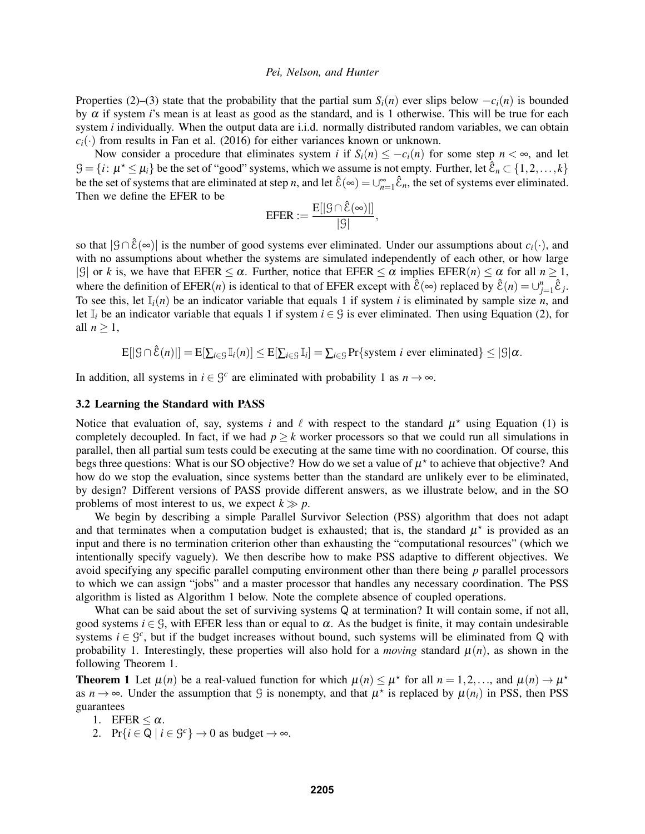Properties (2)–(3) state that the probability that the partial sum  $S_i(n)$  ever slips below  $-c_i(n)$  is bounded by α if system *i*'s mean is at least as good as the standard, and is 1 otherwise. This will be true for each system *i* individually. When the output data are i.i.d. normally distributed random variables, we can obtain  $c_i(\cdot)$  from results in Fan et al. (2016) for either variances known or unknown.

Now consider a procedure that eliminates system *i* if  $S_i(n) \leq -c_i(n)$  for some step  $n < \infty$ , and let  $\mathcal{G} = \{i : \mu^* \leq \mu_i\}$  be the set of "good" systems, which we assume is not empty. Further, let  $\hat{\mathcal{E}}_n \subset \{1, 2, ..., k\}$ be the set of systems that are eliminated at step *n*, and let  $\hat{\mathcal{E}}(\infty) = \bigcup_{n=1}^{\infty} \hat{\mathcal{E}}_n$ , the set of systems ever eliminated. Then we define the EFER to be

$$
\text{EFER} := \frac{E[|\mathcal{G} \cap \hat{\mathcal{E}}(\infty)|]}{|\mathcal{G}|},
$$

so that  $|\mathcal{G} \cap \hat{\mathcal{E}}(\infty)|$  is the number of good systems ever eliminated. Under our assumptions about  $c_i(\cdot)$ , and with no assumptions about whether the systems are simulated independently of each other, or how large |G| or *k* is, we have that EFER  $\leq \alpha$ . Further, notice that EFER  $\leq \alpha$  implies EFER(*n*)  $\leq \alpha$  for all  $n \geq 1$ , where the definition of  $EFER(n)$  is identical to that of  $EFER$  except with  $\hat{\mathcal{E}}(\infty)$  replaced by  $\hat{\mathcal{E}}(n) = \bigcup_{j=1}^{n} \hat{\mathcal{E}}_j$ . To see this, let  $\mathbb{I}_i(n)$  be an indicator variable that equals 1 if system *i* is eliminated by sample size *n*, and let I*<sup>i</sup>* be an indicator variable that equals 1 if system *i* ∈ G is ever eliminated. Then using Equation (2), for all  $n \geq 1$ ,

$$
\mathbb{E}[|\mathcal{G} \cap \hat{\mathcal{E}}(n)|] = \mathbb{E}[\sum_{i \in \mathcal{G}} \mathbb{I}_i(n)] \leq \mathbb{E}[\sum_{i \in \mathcal{G}} \mathbb{I}_i] = \sum_{i \in \mathcal{G}} \Pr\{\text{system } i \text{ ever eliminated}\} \leq |\mathcal{G}| \alpha.
$$

In addition, all systems in  $i \in \mathcal{G}^c$  are eliminated with probability 1 as  $n \to \infty$ .

### 3.2 Learning the Standard with PASS

Notice that evaluation of, say, systems *i* and  $\ell$  with respect to the standard  $\mu^*$  using Equation (1) is completely decoupled. In fact, if we had  $p \ge k$  worker processors so that we could run all simulations in parallel, then all partial sum tests could be executing at the same time with no coordination. Of course, this begs three questions: What is our SO objective? How do we set a value of  $\mu^*$  to achieve that objective? And how do we stop the evaluation, since systems better than the standard are unlikely ever to be eliminated, by design? Different versions of PASS provide different answers, as we illustrate below, and in the SO problems of most interest to us, we expect  $k \gg p$ .

We begin by describing a simple Parallel Survivor Selection (PSS) algorithm that does not adapt and that terminates when a computation budget is exhausted; that is, the standard  $\mu^*$  is provided as an input and there is no termination criterion other than exhausting the "computational resources" (which we intentionally specify vaguely). We then describe how to make PSS adaptive to different objectives. We avoid specifying any specific parallel computing environment other than there being *p* parallel processors to which we can assign "jobs" and a master processor that handles any necessary coordination. The PSS algorithm is listed as Algorithm 1 below. Note the complete absence of coupled operations.

What can be said about the set of surviving systems Q at termination? It will contain some, if not all, good systems  $i \in \mathcal{G}$ , with EFER less than or equal to  $\alpha$ . As the budget is finite, it may contain undesirable systems  $i \in \mathcal{G}^c$ , but if the budget increases without bound, such systems will be eliminated from Q with probability 1. Interestingly, these properties will also hold for a *moving* standard  $\mu(n)$ , as shown in the following Theorem 1.

**Theorem 1** Let  $\mu(n)$  be a real-valued function for which  $\mu(n) \leq \mu^*$  for all  $n = 1, 2, \dots$ , and  $\mu(n) \to \mu^*$ as  $n \to \infty$ . Under the assumption that G is nonempty, and that  $\mu^*$  is replaced by  $\mu(n_i)$  in PSS, then PSS guarantees

- 1. EFER  $\leq \alpha$ .
- 2. Pr $\{i \in \mathbb{Q} \mid i \in \mathbb{G}^c\} \to 0$  as budget  $\to \infty$ .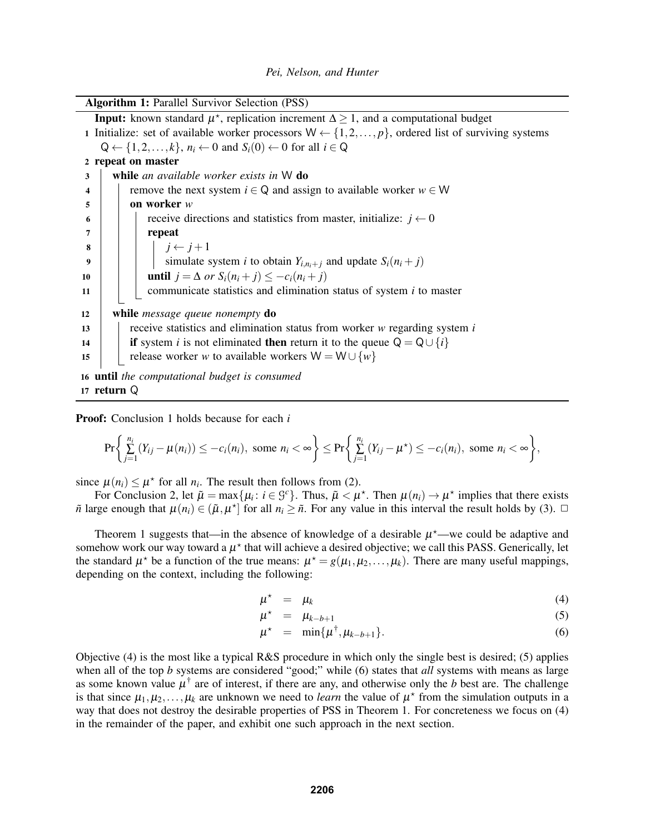| <b>Algorithm 1: Parallel Survivor Selection (PSS)</b>                                                             |  |  |  |  |  |  |
|-------------------------------------------------------------------------------------------------------------------|--|--|--|--|--|--|
| <b>Input:</b> known standard $\mu^*$ , replication increment $\Delta \geq 1$ , and a computational budget         |  |  |  |  |  |  |
| 1 Initialize: set of available worker processors $W \leftarrow \{1, 2, , p\}$ , ordered list of surviving systems |  |  |  |  |  |  |
| $Q \leftarrow \{1, 2, \ldots, k\}, n_i \leftarrow 0$ and $S_i(0) \leftarrow 0$ for all $i \in Q$                  |  |  |  |  |  |  |
| 2 repeat on master                                                                                                |  |  |  |  |  |  |
| while an available worker exists in W do<br>3                                                                     |  |  |  |  |  |  |
| remove the next system $i \in Q$ and assign to available worker $w \in W$<br>4                                    |  |  |  |  |  |  |
| on worker $w$<br>5                                                                                                |  |  |  |  |  |  |
| receive directions and statistics from master, initialize: $j \leftarrow 0$<br>6                                  |  |  |  |  |  |  |
| repeat<br>7                                                                                                       |  |  |  |  |  |  |
| 8                                                                                                                 |  |  |  |  |  |  |
| $j \leftarrow j+1$<br>simulate system <i>i</i> to obtain $Y_{i,n_i+j}$ and update $S_i(n_i+j)$<br>9               |  |  |  |  |  |  |
| <b>until</b> $j = \Delta$ or $S_i(n_i + j) \leq -c_i(n_i + j)$<br>10                                              |  |  |  |  |  |  |
| communicate statistics and elimination status of system $i$ to master<br>11                                       |  |  |  |  |  |  |
|                                                                                                                   |  |  |  |  |  |  |
| while <i>message queue nonempty</i> do<br>12                                                                      |  |  |  |  |  |  |
| receive statistics and elimination status from worker $w$ regarding system $i$<br>13                              |  |  |  |  |  |  |
| if system <i>i</i> is not eliminated then return it to the queue $Q = Q \cup \{i\}$<br>14                         |  |  |  |  |  |  |
| release worker w to available workers $W = W \cup \{w\}$<br>15                                                    |  |  |  |  |  |  |
| 16 until the computational budget is consumed                                                                     |  |  |  |  |  |  |
| 17 return $\Omega$                                                                                                |  |  |  |  |  |  |

Proof: Conclusion 1 holds because for each *i*

$$
\Pr\bigg\{\sum_{j=1}^{n_i}\big(Y_{ij}-\mu(n_i)\big)\leq -c_i(n_i),\text{ some }n_i<\infty\bigg\}\leq \Pr\bigg\{\sum_{j=1}^{n_i}\big(Y_{ij}-\mu^{\star}\big)\leq -c_i(n_i),\text{ some }n_i<\infty\bigg\},
$$

since  $\mu(n_i) \leq \mu^*$  for all  $n_i$ . The result then follows from (2).

For Conclusion 2, let  $\tilde{\mu} = \max\{\mu_i : i \in \mathcal{G}^c\}$ . Thus,  $\tilde{\mu} < \mu^*$ . Then  $\mu(n_i) \to \mu^*$  implies that there exists  $\tilde{n}$  large enough that  $\mu(n_i) \in (\tilde{\mu}, \mu^*]$  for all  $n_i \geq \tilde{n}$ . For any value in this interval the result holds by (3).  $\Box$ 

Theorem 1 suggests that—in the absence of knowledge of a desirable  $\mu^*$ —we could be adaptive and somehow work our way toward a  $\mu^*$  that will achieve a desired objective; we call this PASS. Generically, let the standard  $\mu^*$  be a function of the true means:  $\mu^* = g(\mu_1, \mu_2, ..., \mu_k)$ . There are many useful mappings, depending on the context, including the following:

$$
\mu^* = \mu_k \tag{4}
$$

$$
\mu^* = \mu_{k-b+1} \tag{5}
$$

$$
\mu^* = \min\{\mu^\dagger, \mu_{k-b+1}\}.
$$
\n(6)

Objective (4) is the most like a typical R&S procedure in which only the single best is desired; (5) applies when all of the top *b* systems are considered "good;" while (6) states that *all* systems with means as large as some known value  $\mu^{\dagger}$  are of interest, if there are any, and otherwise only the *b* best are. The challenge is that since  $\mu_1, \mu_2, \ldots, \mu_k$  are unknown we need to *learn* the value of  $\mu^*$  from the simulation outputs in a way that does not destroy the desirable properties of PSS in Theorem 1. For concreteness we focus on (4) in the remainder of the paper, and exhibit one such approach in the next section.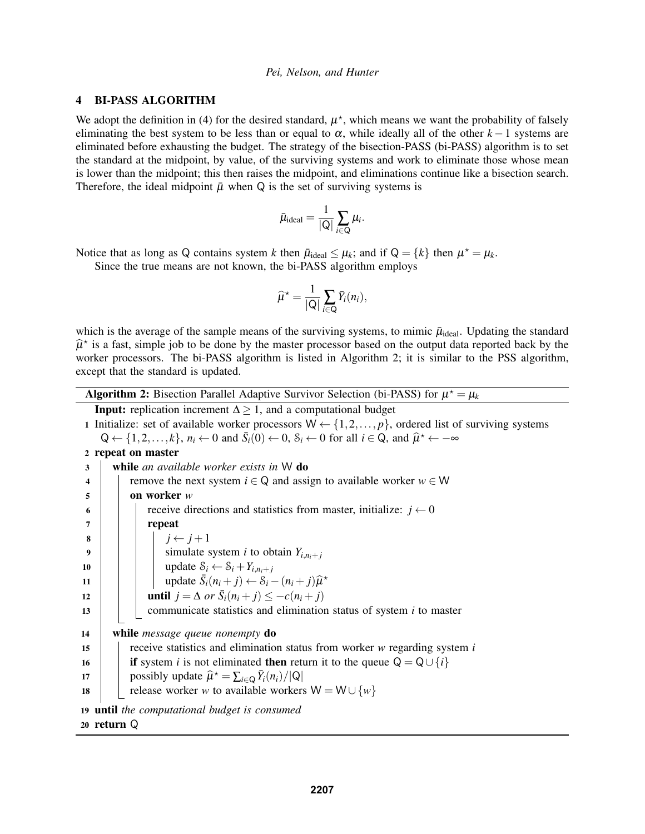## 4 BI-PASS ALGORITHM

We adopt the definition in (4) for the desired standard,  $\mu^*$ , which means we want the probability of falsely eliminating the best system to be less than or equal to  $\alpha$ , while ideally all of the other  $k-1$  systems are eliminated before exhausting the budget. The strategy of the bisection-PASS (bi-PASS) algorithm is to set the standard at the midpoint, by value, of the surviving systems and work to eliminate those whose mean is lower than the midpoint; this then raises the midpoint, and eliminations continue like a bisection search. Therefore, the ideal midpoint  $\bar{\mu}$  when Q is the set of surviving systems is

$$
\bar{\mu}_{\text{ideal}} = \frac{1}{|Q|} \sum_{i \in Q} \mu_i.
$$

Notice that as long as Q contains system *k* then  $\bar{\mu}_{\text{ideal}} \leq \mu_k$ ; and if  $Q = \{k\}$  then  $\mu^* = \mu_k$ .

Since the true means are not known, the bi-PASS algorithm employs

$$
\widehat{\mu}^{\star} = \frac{1}{|Q|} \sum_{i \in Q} \overline{Y}_i(n_i),
$$

which is the average of the sample means of the surviving systems, to mimic  $\bar{\mu}_{\text{ideal}}$ . Updating the standard  $\hat{\mu}^*$  is a fast, simple job to be done by the master processor based on the output data reported back by the worker processors. The bi-PASS election is listed in Algorithm 2; it is similar to the PSS election worker processors. The bi-PASS algorithm is listed in Algorithm 2; it is similar to the PSS algorithm, except that the standard is updated.

| <b>Algorithm 2:</b> Bisection Parallel Adaptive Survivor Selection (bi-PASS) for $\mu^* = \mu_k$ |  |
|--------------------------------------------------------------------------------------------------|--|
|--------------------------------------------------------------------------------------------------|--|

**Input:** replication increment  $\Delta \geq 1$ , and a computational budget

1 Initialize: set of available worker processors  $W \leftarrow \{1, 2, ..., p\}$ , ordered list of surviving systems  $Q \leftarrow \{1, 2, ..., k\}, n_i \leftarrow 0 \text{ and } \bar{S}_i(0) \leftarrow 0, S_i \leftarrow 0 \text{ for all } i \in \bar{Q}, \text{ and } \hat{\mu}^* \leftarrow -\infty$ 

#### 2 repeat on master

| 3                                             | while an available worker exists in $W$ do                                          |  |  |  |  |  |  |  |
|-----------------------------------------------|-------------------------------------------------------------------------------------|--|--|--|--|--|--|--|
| 4                                             | remove the next system $i \in \mathbb{Q}$ and assign to available worker $w \in W$  |  |  |  |  |  |  |  |
| 5                                             | on worker $w$                                                                       |  |  |  |  |  |  |  |
| 6                                             | receive directions and statistics from master, initialize: $j \leftarrow 0$         |  |  |  |  |  |  |  |
| 7                                             | repeat                                                                              |  |  |  |  |  |  |  |
| 8                                             | $j \leftarrow j+1$                                                                  |  |  |  |  |  |  |  |
| 9                                             | simulate system <i>i</i> to obtain $Y_{i,n_i+j}$                                    |  |  |  |  |  |  |  |
| 10                                            | update $S_i \leftarrow S_i + Y_{i,n_i+i}$                                           |  |  |  |  |  |  |  |
| 11                                            | update $\bar{S}_i(n_i + j) \leftarrow S_i - (n_i + j)\hat{\mu}^*$                   |  |  |  |  |  |  |  |
| 12                                            | <b>until</b> $j = \Delta$ or $\bar{S}_i(n_i + j) \leq -c(n_i + j)$                  |  |  |  |  |  |  |  |
| 13                                            | communicate statistics and elimination status of system $i$ to master               |  |  |  |  |  |  |  |
|                                               |                                                                                     |  |  |  |  |  |  |  |
| 14                                            | while <i>message queue nonempty</i> do                                              |  |  |  |  |  |  |  |
| 15                                            | receive statistics and elimination status from worker $w$ regarding system $i$      |  |  |  |  |  |  |  |
| 16                                            | if system <i>i</i> is not eliminated then return it to the queue $Q = Q \cup \{i\}$ |  |  |  |  |  |  |  |
| 17                                            | possibly update $\hat{\mu}^* = \sum_{i \in Q} \overline{Y}_i(n_i)/ Q $              |  |  |  |  |  |  |  |
| 18                                            | release worker w to available workers $W = W \cup \{w\}$                            |  |  |  |  |  |  |  |
| 19 until the computational budget is consumed |                                                                                     |  |  |  |  |  |  |  |
|                                               | 20 return $\mathcal Q$                                                              |  |  |  |  |  |  |  |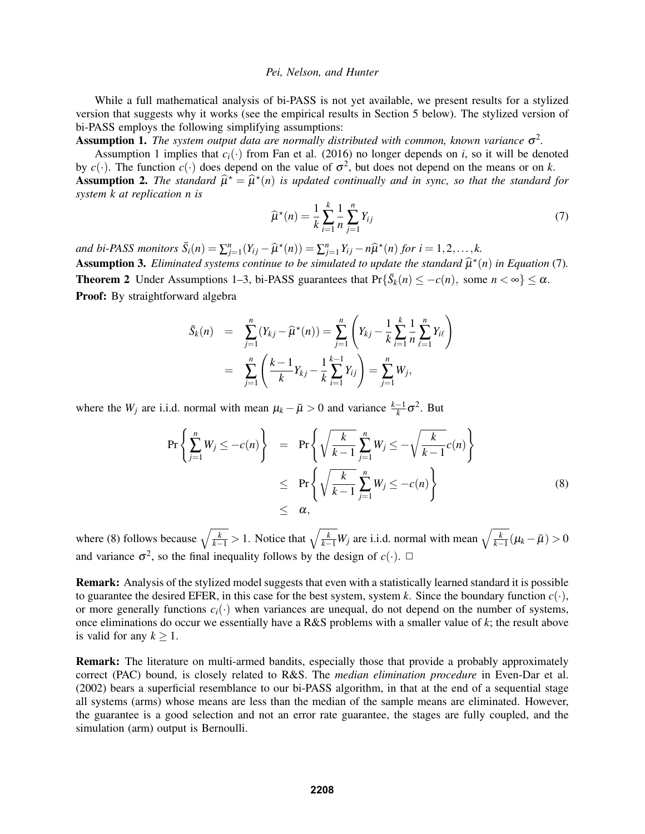While a full mathematical analysis of bi-PASS is not yet available, we present results for a stylized version that suggests why it works (see the empirical results in Section 5 below). The stylized version of bi-PASS employs the following simplifying assumptions:

**Assumption 1.** The system output data are normally distributed with common, known variance  $\sigma^2$ .

Assumption 1 implies that  $c_i(\cdot)$  from Fan et al. (2016) no longer depends on *i*, so it will be denoted by  $c(\cdot)$ . The function  $c(\cdot)$  does depend on the value of  $\sigma^2$ , but does not depend on the means or on *k*. **Assumption 2.** The standard  $\hat{\mu}^* = \hat{\mu}^*(n)$  is updated continually and in sync, so that the standard for existent k at replication *n* is

*system k at replication n is k n*

$$
\widehat{\mu}^*(n) = \frac{1}{k} \sum_{i=1}^k \frac{1}{n} \sum_{j=1}^n Y_{ij}
$$
\n(7)

*and bi-PASS monitors*  $\bar{S}_i(n) = \sum_{j=1}^n (Y_{ij} - \hat{\mu}^*(n)) = \sum_{j=1}^n Y_{ij} - n\hat{\mu}^*(n)$  for  $i = 1, 2, ..., k$ . **Assumption 3.** *Eliminated systems continue to be simulated to update the standard*  $\hat{\mu}^*(n)$  *in Equation* (7)*.* **Theorem 2** Under Assumptions 1–3, bi-PASS guarantees that  $Pr{\{\bar{S}_k(n) \leq -c(n), \text{ some } n < \infty\}} \leq \alpha$ . Proof: By straightforward algebra

$$
\bar{S}_k(n) = \sum_{j=1}^n (Y_{kj} - \widehat{\mu}^*(n)) = \sum_{j=1}^n \left( Y_{kj} - \frac{1}{k} \sum_{i=1}^k \frac{1}{n} \sum_{\ell=1}^n Y_{i\ell} \right)
$$

$$
= \sum_{j=1}^n \left( \frac{k-1}{k} Y_{kj} - \frac{1}{k} \sum_{i=1}^{k-1} Y_{ij} \right) = \sum_{j=1}^n W_j,
$$

where the *W<sub>j</sub>* are i.i.d. normal with mean  $\mu_k - \bar{\mu} > 0$  and variance  $\frac{k-1}{k} \sigma^2$ . But

$$
\Pr\left\{\sum_{j=1}^{n} W_j \leq -c(n)\right\} = \Pr\left\{\sqrt{\frac{k}{k-1}} \sum_{j=1}^{n} W_j \leq -\sqrt{\frac{k}{k-1}} c(n)\right\}
$$
\n
$$
\leq \Pr\left\{\sqrt{\frac{k}{k-1}} \sum_{j=1}^{n} W_j \leq -c(n)\right\}
$$
\n
$$
\leq \alpha,
$$
\n(8)

where (8) follows because  $\sqrt{\frac{k}{k-1}} > 1$ . Notice that  $\sqrt{\frac{k}{k-1}}W_j$  are i.i.d. normal with mean  $\sqrt{\frac{k}{k-1}}(\mu_k - \bar{\mu}) > 0$ and variance  $\sigma^2$ , so the final inequality follows by the design of  $c(\cdot)$ .  $\Box$ 

Remark: Analysis of the stylized model suggests that even with a statistically learned standard it is possible to guarantee the desired EFER, in this case for the best system, system *k*. Since the boundary function  $c(\cdot)$ , or more generally functions  $c_i(\cdot)$  when variances are unequal, do not depend on the number of systems, once eliminations do occur we essentially have a R&S problems with a smaller value of *k*; the result above is valid for any  $k \geq 1$ .

Remark: The literature on multi-armed bandits, especially those that provide a probably approximately correct (PAC) bound, is closely related to R&S. The *median elimination procedure* in Even-Dar et al. (2002) bears a superficial resemblance to our bi-PASS algorithm, in that at the end of a sequential stage all systems (arms) whose means are less than the median of the sample means are eliminated. However, the guarantee is a good selection and not an error rate guarantee, the stages are fully coupled, and the simulation (arm) output is Bernoulli.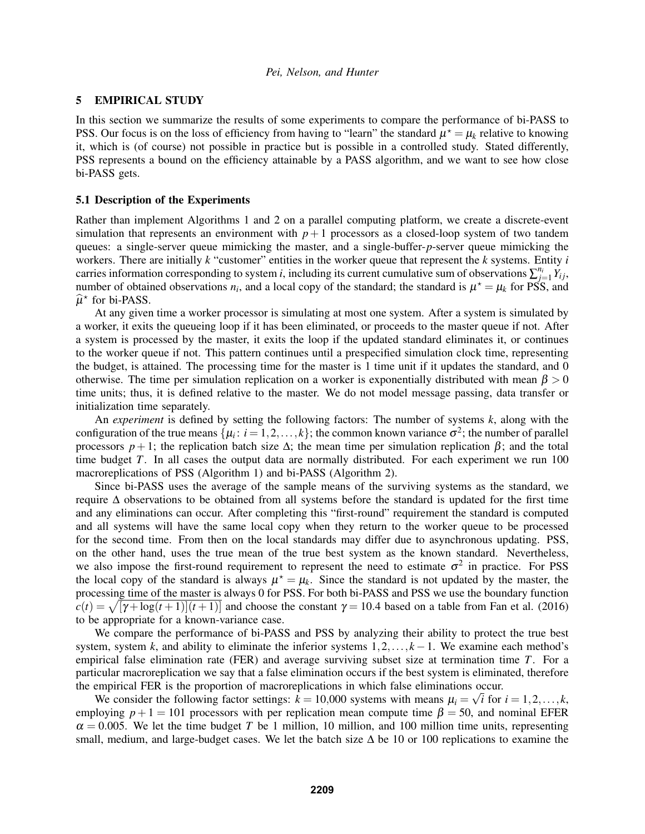### 5 EMPIRICAL STUDY

In this section we summarize the results of some experiments to compare the performance of bi-PASS to PSS. Our focus is on the loss of efficiency from having to "learn" the standard  $\mu^* = \mu_k$  relative to knowing it, which is (of course) not possible in practice but is possible in a controlled study. Stated differently, PSS represents a bound on the efficiency attainable by a PASS algorithm, and we want to see how close bi-PASS gets.

#### 5.1 Description of the Experiments

Rather than implement Algorithms 1 and 2 on a parallel computing platform, we create a discrete-event simulation that represents an environment with  $p+1$  processors as a closed-loop system of two tandem queues: a single-server queue mimicking the master, and a single-buffer-*p*-server queue mimicking the workers. There are initially *k* "customer" entities in the worker queue that represent the *k* systems. Entity *i* carries information corresponding to system *i*, including its current cumulative sum of observations  $\sum_{j=1}^{n_i} Y_{ij}$ , number of obtained observations  $n_i$ , and a local copy of the standard; the standard is  $\mu^* = \mu_k$  for PSS, and  $\hat{\mu}^*$  for bi-PASS.

At any given time a worker processor is simulating at most one system. After a system is simulated by a worker, it exits the queueing loop if it has been eliminated, or proceeds to the master queue if not. After a system is processed by the master, it exits the loop if the updated standard eliminates it, or continues to the worker queue if not. This pattern continues until a prespecified simulation clock time, representing the budget, is attained. The processing time for the master is 1 time unit if it updates the standard, and 0 otherwise. The time per simulation replication on a worker is exponentially distributed with mean  $\beta > 0$ time units; thus, it is defined relative to the master. We do not model message passing, data transfer or initialization time separately.

An *experiment* is defined by setting the following factors: The number of systems *k*, along with the configuration of the true means  $\{\mu_i: i = 1, 2, ..., k\}$ ; the common known variance  $\sigma^2$ ; the number of parallel processors  $p+1$ ; the replication batch size  $\Delta$ ; the mean time per simulation replication  $\beta$ ; and the total time budget *T*. In all cases the output data are normally distributed. For each experiment we run 100 macroreplications of PSS (Algorithm 1) and bi-PASS (Algorithm 2).

Since bi-PASS uses the average of the sample means of the surviving systems as the standard, we require ∆ observations to be obtained from all systems before the standard is updated for the first time and any eliminations can occur. After completing this "first-round" requirement the standard is computed and all systems will have the same local copy when they return to the worker queue to be processed for the second time. From then on the local standards may differ due to asynchronous updating. PSS, on the other hand, uses the true mean of the true best system as the known standard. Nevertheless, we also impose the first-round requirement to represent the need to estimate  $\sigma^2$  in practice. For PSS the local copy of the standard is always  $\mu^* = \mu_k$ . Since the standard is not updated by the master, the processing time of the master is always 0 for PSS. For both bi-PASS and PSS we use the boundary function  $c(t) = \sqrt{[\gamma + \log(t+1)](t+1)}$  and choose the constant  $\gamma = 10.4$  based on a table from Fan et al. (2016) to be appropriate for a known-variance case.

We compare the performance of bi-PASS and PSS by analyzing their ability to protect the true best system, system *k*, and ability to eliminate the inferior systems 1,2,..., *k* −1. We examine each method's empirical false elimination rate (FER) and average surviving subset size at termination time *T*. For a particular macroreplication we say that a false elimination occurs if the best system is eliminated, therefore the empirical FER is the proportion of macroreplications in which false eliminations occur.

We consider the following factor settings:  $k = 10,000$  systems with means  $\mu_i = \sqrt{i}$  for  $i = 1,2,...,k$ , employing  $p+1 = 101$  processors with per replication mean compute time  $\beta = 50$ , and nominal EFER  $\alpha = 0.005$ . We let the time budget *T* be 1 million, 10 million, and 100 million time units, representing small, medium, and large-budget cases. We let the batch size  $\Delta$  be 10 or 100 replications to examine the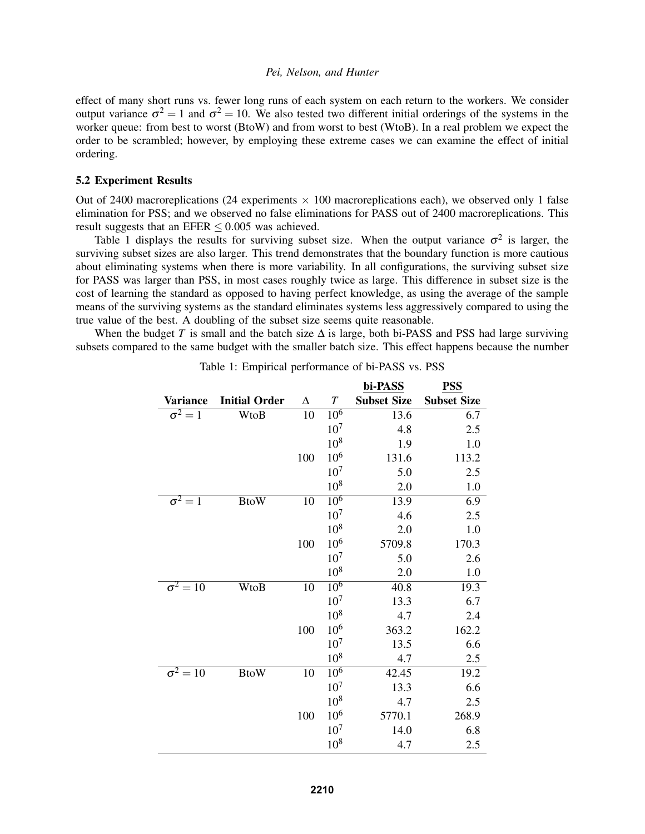effect of many short runs vs. fewer long runs of each system on each return to the workers. We consider output variance  $\sigma^2 = 1$  and  $\sigma^2 = 10$ . We also tested two different initial orderings of the systems in the worker queue: from best to worst (BtoW) and from worst to best (WtoB). In a real problem we expect the order to be scrambled; however, by employing these extreme cases we can examine the effect of initial ordering.

### 5.2 Experiment Results

Out of 2400 macroreplications (24 experiments  $\times$  100 macroreplications each), we observed only 1 false elimination for PSS; and we observed no false eliminations for PASS out of 2400 macroreplications. This result suggests that an EFER  $\leq 0.005$  was achieved.

Table 1 displays the results for surviving subset size. When the output variance  $\sigma^2$  is larger, the surviving subset sizes are also larger. This trend demonstrates that the boundary function is more cautious about eliminating systems when there is more variability. In all configurations, the surviving subset size for PASS was larger than PSS, in most cases roughly twice as large. This difference in subset size is the cost of learning the standard as opposed to having perfect knowledge, as using the average of the sample means of the surviving systems as the standard eliminates systems less aggressively compared to using the true value of the best. A doubling of the subset size seems quite reasonable.

When the budget *T* is small and the batch size  $\Delta$  is large, both bi-PASS and PSS had large surviving subsets compared to the same budget with the smaller batch size. This effect happens because the number

|                            |                      |          |                 | bi-PASS            | <b>PSS</b>         |
|----------------------------|----------------------|----------|-----------------|--------------------|--------------------|
| Variance                   | <b>Initial Order</b> | $\Delta$ | T               | <b>Subset Size</b> | <b>Subset Size</b> |
| $\sigma^2=1$               | WtoB                 | 10       | 10 <sup>6</sup> | 13.6               | 6.7                |
|                            |                      |          | $10^{7}$        | 4.8                | 2.5                |
|                            |                      |          | 10 <sup>8</sup> | 1.9                | 1.0                |
|                            |                      | 100      | $10^{6}$        | 131.6              | 113.2              |
|                            |                      |          | $10^{7}$        | 5.0                | 2.5                |
|                            |                      |          | $10^{8}$        | 2.0                | 1.0                |
| $\sigma^2 = 1$             | <b>BtoW</b>          | 10       | $10^{6}$        | 13.9               | 6.9                |
|                            |                      |          | $10^{7}$        | 4.6                | 2.5                |
|                            |                      |          | $10^{8}$        | 2.0                | 1.0                |
|                            |                      | 100      | $10^{6}$        | 5709.8             | 170.3              |
|                            |                      |          | $10^{7}$        | 5.0                | 2.6                |
|                            |                      |          | $10^{8}$        | 2.0                | 1.0                |
| $\overline{\sigma^2} = 10$ | WtoB                 | 10       | $10^{6}$        | 40.8               | 19.3               |
|                            |                      |          | $10^{7}$        | 13.3               | 6.7                |
|                            |                      |          | $10^{8}$        | 4.7                | 2.4                |
|                            |                      | 100      | $10^{6}$        | 363.2              | 162.2              |
|                            |                      |          | $10^{7}$        | 13.5               | 6.6                |
|                            |                      |          | $10^{8}$        | 4.7                | 2.5                |
| $\sigma^2 = 10$            | <b>BtoW</b>          | 10       | $10^{6}$        | 42.45              | 19.2               |
|                            |                      |          | $10^{7}$        | 13.3               | 6.6                |
|                            |                      |          | $10^{8}$        | 4.7                | 2.5                |
|                            |                      | 100      | $10^{6}$        | 5770.1             | 268.9              |
|                            |                      |          | $10^{7}$        | 14.0               | 6.8                |
|                            |                      |          | 10 <sup>8</sup> | 4.7                | 2.5                |

Table 1: Empirical performance of bi-PASS vs. PSS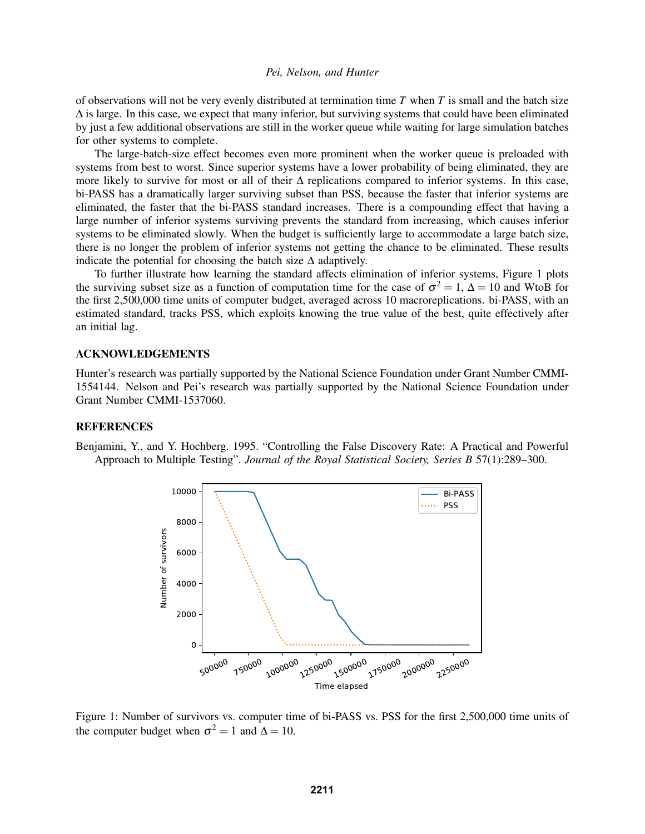of observations will not be very evenly distributed at termination time *T* when *T* is small and the batch size  $\Delta$  is large. In this case, we expect that many inferior, but surviving systems that could have been eliminated by just a few additional observations are still in the worker queue while waiting for large simulation batches for other systems to complete.

The large-batch-size effect becomes even more prominent when the worker queue is preloaded with systems from best to worst. Since superior systems have a lower probability of being eliminated, they are more likely to survive for most or all of their  $\Delta$  replications compared to inferior systems. In this case, bi-PASS has a dramatically larger surviving subset than PSS, because the faster that inferior systems are eliminated, the faster that the bi-PASS standard increases. There is a compounding effect that having a large number of inferior systems surviving prevents the standard from increasing, which causes inferior systems to be eliminated slowly. When the budget is sufficiently large to accommodate a large batch size, there is no longer the problem of inferior systems not getting the chance to be eliminated. These results indicate the potential for choosing the batch size  $\Delta$  adaptively.

To further illustrate how learning the standard affects elimination of inferior systems, Figure 1 plots the surviving subset size as a function of computation time for the case of  $\sigma^2 = 1$ ,  $\Delta = 10$  and WtoB for the first 2,500,000 time units of computer budget, averaged across 10 macroreplications. bi-PASS, with an estimated standard, tracks PSS, which exploits knowing the true value of the best, quite effectively after an initial lag.

## ACKNOWLEDGEMENTS

Hunter's research was partially supported by the National Science Foundation under Grant Number CMMI-1554144. Nelson and Pei's research was partially supported by the National Science Foundation under Grant Number CMMI-1537060.

#### **REFERENCES**

Benjamini, Y., and Y. Hochberg. 1995. "Controlling the False Discovery Rate: A Practical and Powerful Approach to Multiple Testing". *Journal of the Royal Statistical Society, Series B* 57(1):289–300.



Figure 1: Number of survivors vs. computer time of bi-PASS vs. PSS for the first 2,500,000 time units of the computer budget when  $\sigma^2 = 1$  and  $\Delta = 10$ .